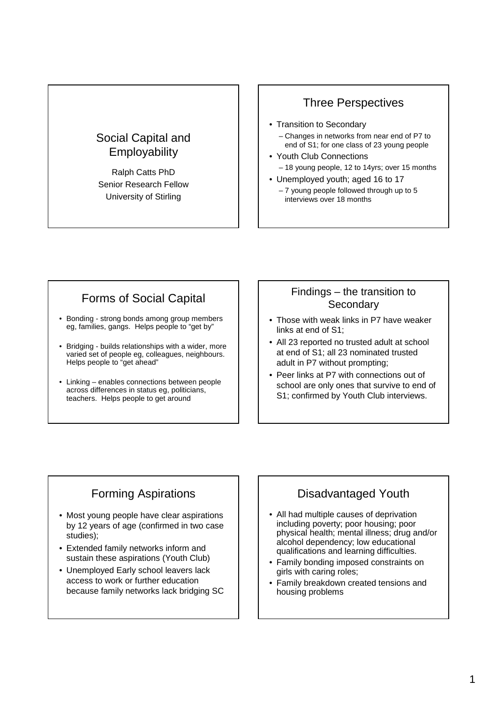## Social Capital and **Employability**

Ralph Catts PhD Senior Research Fellow University of Stirling

### Three Perspectives

- Transition to Secondary – Changes in networks from near end of P7 to end of S1; for one class of 23 young people
- Youth Club Connections – 18 young people, 12 to 14yrs; over 15 months
- Unemployed youth; aged 16 to 17 – 7 young people followed through up to 5 interviews over 18 months

# Forms of Social Capital

- Bonding strong bonds among group members eg, families, gangs. Helps people to "get by"
- Bridging builds relationships with a wider, more varied set of people eg, colleagues, neighbours. Helps people to "get ahead"
- Linking enables connections between people across differences in status eg, politicians, teachers. Helps people to get around

#### Findings – the transition to **Secondary**

- Those with weak links in P7 have weaker links at end of S1;
- All 23 reported no trusted adult at school at end of S1; all 23 nominated trusted adult in P7 without prompting;
- Peer links at P7 with connections out of school are only ones that survive to end of S1; confirmed by Youth Club interviews.

## Forming Aspirations

- Most young people have clear aspirations by 12 years of age (confirmed in two case studies);
- Extended family networks inform and sustain these aspirations (Youth Club)
- Unemployed Early school leavers lack access to work or further education because family networks lack bridging SC

# Disadvantaged Youth

- All had multiple causes of deprivation including poverty; poor housing; poor physical health; mental illness; drug and/or alcohol dependency; low educational qualifications and learning difficulties.
- Family bonding imposed constraints on girls with caring roles;
- Family breakdown created tensions and housing problems